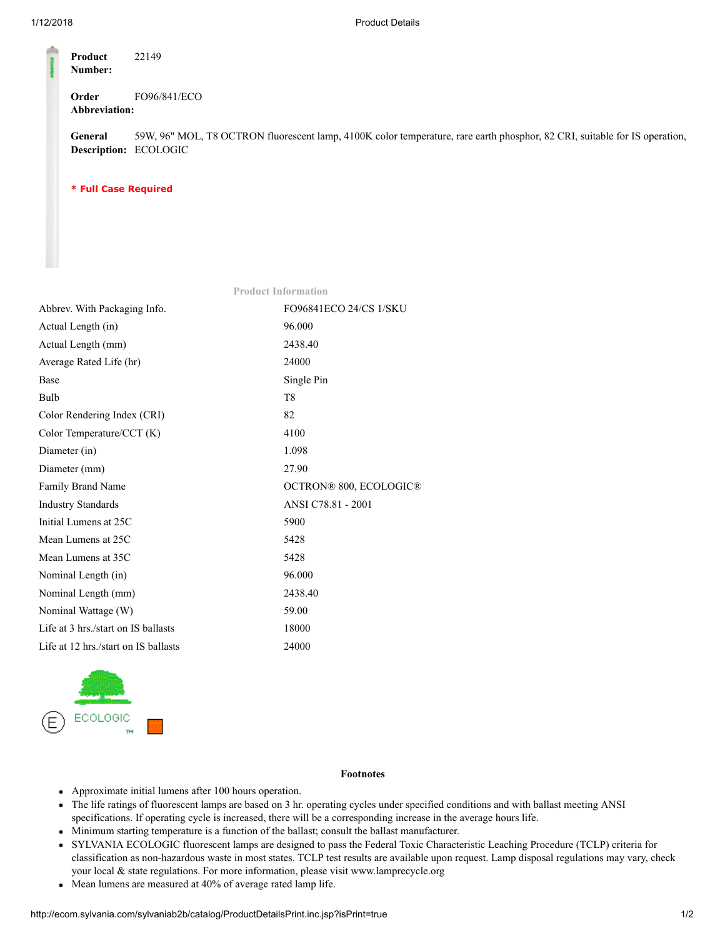| Product<br>Number: | 22149        |
|--------------------|--------------|
| Order              | FO96/841/ECO |
| Abbreviation:      |              |

General Description: ECOLOGIC 59W, 96" MOL, T8 OCTRON fluorescent lamp, 4100K color temperature, rare earth phosphor, 82 CRI, suitable for IS operation,

\* Full Case Required

| Abbrev. With Packaging Info.         | <b>FO96841ECO 24/CS 1/SKU</b> |
|--------------------------------------|-------------------------------|
| Actual Length (in)                   | 96.000                        |
| Actual Length (mm)                   | 2438.40                       |
| Average Rated Life (hr)              | 24000                         |
| Base                                 | Single Pin                    |
| Bulb                                 | T <sub>8</sub>                |
| Color Rendering Index (CRI)          | 82                            |
| Color Temperature/CCT (K)            | 4100                          |
| Diameter (in)                        | 1.098                         |
| Diameter (mm)                        | 27.90                         |
| Family Brand Name                    | OCTRON® 800, ECOLOGIC®        |
| <b>Industry Standards</b>            | ANSI C78.81 - 2001            |
| Initial Lumens at 25C                | 5900                          |
| Mean Lumens at 25C                   | 5428                          |
| Mean Lumens at 35C                   | 5428                          |
| Nominal Length (in)                  | 96.000                        |
| Nominal Length (mm)                  | 2438.40                       |
| Nominal Wattage (W)                  | 59.00                         |
| Life at 3 hrs./start on IS ballasts  | 18000                         |
| Life at 12 hrs./start on IS ballasts | 24000                         |
|                                      |                               |

Product Information



## Footnotes

- Approximate initial lumens after 100 hours operation.
- The life ratings of fluorescent lamps are based on 3 hr. operating cycles under specified conditions and with ballast meeting ANSI specifications. If operating cycle is increased, there will be a corresponding increase in the average hours life.
- Minimum starting temperature is a function of the ballast; consult the ballast manufacturer.
- SYLVANIA ECOLOGIC fluorescent lamps are designed to pass the Federal Toxic Characteristic Leaching Procedure (TCLP) criteria for classification as non-hazardous waste in most states. TCLP test results are available upon request. Lamp disposal regulations may vary, check your local & state regulations. For more information, please visit www.lamprecycle.org
- Mean lumens are measured at 40% of average rated lamp life.